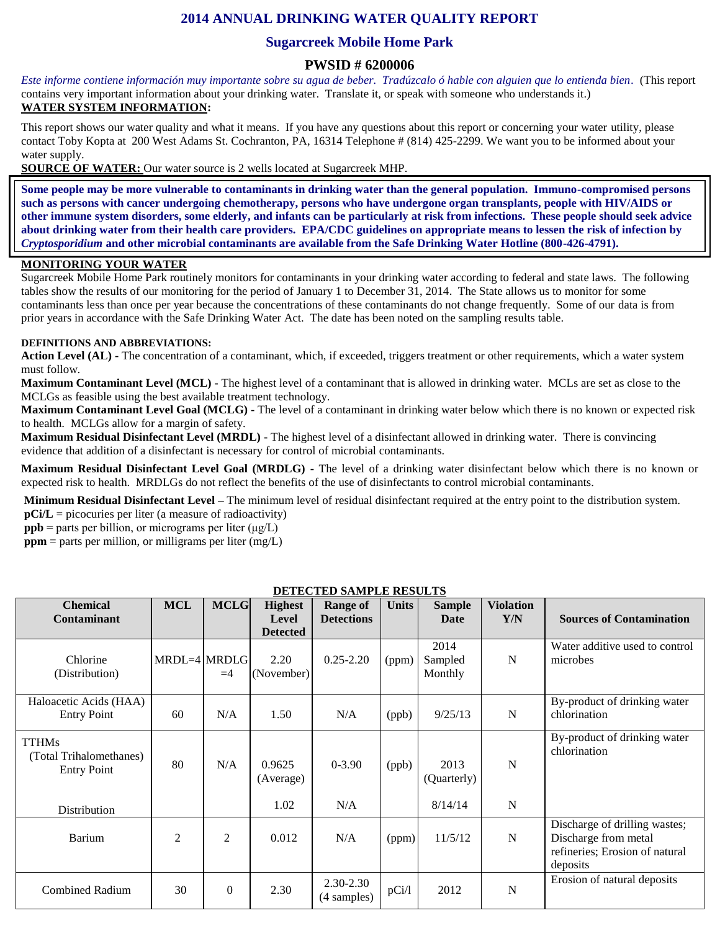# **2014 ANNUAL DRINKING WATER QUALITY REPORT**

## **Sugarcreek Mobile Home Park**

### **PWSID # 6200006**

*Este informe contiene información muy importante sobre su agua de beber. Tradúzcalo ó hable con alguien que lo entienda bien.* (This report contains very important information about your drinking water. Translate it, or speak with someone who understands it.) **WATER SYSTEM INFORMATION:**

This report shows our water quality and what it means. If you have any questions about this report or concerning your water utility, please contact Toby Kopta at 200 West Adams St. Cochranton, PA, 16314 Telephone # (814) 425-2299. We want you to be informed about your water supply.

**SOURCE OF WATER:** Our water source is 2 wells located at Sugarcreek MHP.

**Some people may be more vulnerable to contaminants in drinking water than the general population. Immuno-compromised persons such as persons with cancer undergoing chemotherapy, persons who have undergone organ transplants, people with HIV/AIDS or other immune system disorders, some elderly, and infants can be particularly at risk from infections. These people should seek advice about drinking water from their health care providers. EPA/CDC guidelines on appropriate means to lessen the risk of infection by**  *Cryptosporidium* **and other microbial contaminants are available from the Safe Drinking Water Hotline (800-426-4791).**

### **MONITORING YOUR WATER**

Sugarcreek Mobile Home Park routinely monitors for contaminants in your drinking water according to federal and state laws. The following tables show the results of our monitoring for the period of January 1 to December 31, 2014. The State allows us to monitor for some contaminants less than once per year because the concentrations of these contaminants do not change frequently. Some of our data is from prior years in accordance with the Safe Drinking Water Act. The date has been noted on the sampling results table.

#### **DEFINITIONS AND ABBREVIATIONS:**

**Action Level (AL) -** The concentration of a contaminant, which, if exceeded, triggers treatment or other requirements, which a water system must follow.

**Maximum Contaminant Level (MCL) -** The highest level of a contaminant that is allowed in drinking water. MCLs are set as close to the MCLGs as feasible using the best available treatment technology.

**Maximum Contaminant Level Goal (MCLG) -** The level of a contaminant in drinking water below which there is no known or expected risk to health. MCLGs allow for a margin of safety.

**Maximum Residual Disinfectant Level (MRDL) -** The highest level of a disinfectant allowed in drinking water. There is convincing evidence that addition of a disinfectant is necessary for control of microbial contaminants.

**Maximum Residual Disinfectant Level Goal (MRDLG) -** The level of a drinking water disinfectant below which there is no known or expected risk to health. MRDLGs do not reflect the benefits of the use of disinfectants to control microbial contaminants.

**Minimum Residual Disinfectant Level –** The minimum level of residual disinfectant required at the entry point to the distribution system. **pCi/L** = picocuries per liter (a measure of radioactivity)

**ppb** = parts per billion, or micrograms per liter  $(\mu g/L)$ 

 $ppm$  = parts per million, or milligrams per liter (mg/L)

| <b>Chemical</b><br><b>Contaminant</b>                         | <b>MCL</b>     | <b>MCLG</b>    | <b>Highest</b><br>Level | <b>Range of</b><br><b>Detections</b> | <b>Units</b> | <b>Sample</b><br>Date      | <b>Violation</b><br>Y/N | <b>Sources of Contamination</b>                                                                     |
|---------------------------------------------------------------|----------------|----------------|-------------------------|--------------------------------------|--------------|----------------------------|-------------------------|-----------------------------------------------------------------------------------------------------|
|                                                               |                |                | <b>Detected</b>         |                                      |              |                            |                         |                                                                                                     |
| Chlorine<br>(Distribution)                                    | MRDL=4 MRDLG   | $=4$           | 2.20<br>(November)      | $0.25 - 2.20$                        | (ppm)        | 2014<br>Sampled<br>Monthly | N                       | Water additive used to control<br>microbes                                                          |
| Haloacetic Acids (HAA)<br><b>Entry Point</b>                  | 60             | N/A            | 1.50                    | N/A                                  | (ppb)        | 9/25/13                    | N                       | By-product of drinking water<br>chlorination                                                        |
| <b>TTHMs</b><br>(Total Trihalomethanes)<br><b>Entry Point</b> | 80             | N/A            | 0.9625<br>(Average)     | $0 - 3.90$                           | (ppb)        | 2013<br>(Quarterly)        | N                       | By-product of drinking water<br>chlorination                                                        |
| Distribution                                                  |                |                | 1.02                    | N/A                                  |              | 8/14/14                    | N                       |                                                                                                     |
| Barium                                                        | $\overline{2}$ | $\overline{2}$ | 0.012                   | N/A                                  | (ppm)        | 11/5/12                    | $\mathbf N$             | Discharge of drilling wastes;<br>Discharge from metal<br>refineries; Erosion of natural<br>deposits |
| <b>Combined Radium</b>                                        | 30             | $\Omega$       | 2.30                    | 2.30-2.30<br>(4 samples)             | pCi/1        | 2012                       | N                       | Erosion of natural deposits                                                                         |

### **DETECTED SAMPLE RESULTS**